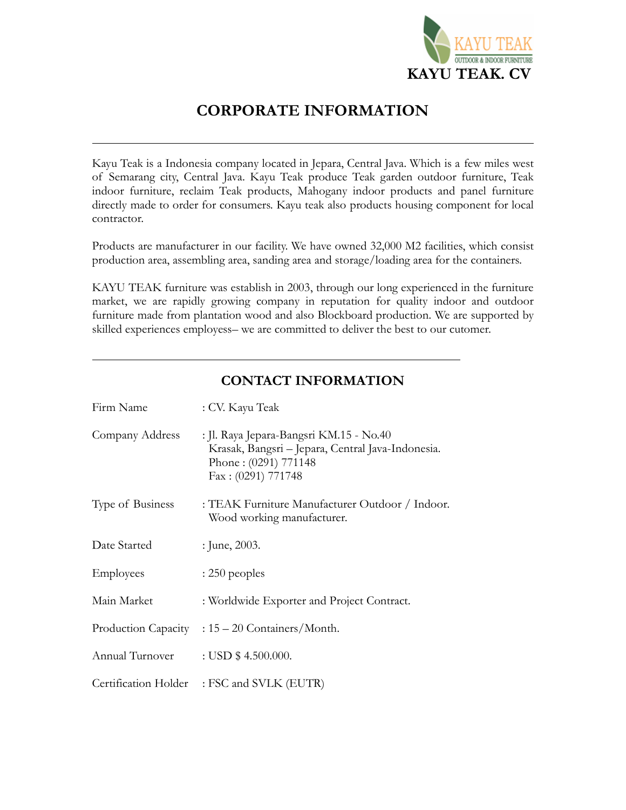

# **CORPORATE INFORMATION**

Kayu Teak is a Indonesia company located in Jepara, Central Java. Which is a few miles west of Semarang city, Central Java. Kayu Teak produce Teak garden outdoor furniture, Teak indoor furniture, reclaim Teak products, Mahogany indoor products and panel furniture directly made to order for consumers. Kayu teak also products housing component for local contractor.

Products are manufacturer in our facility. We have owned 32,000 M2 facilities, which consist production area, assembling area, sanding area and storage/loading area for the containers.

KAYU TEAK furniture was establish in 2003, through our long experienced in the furniture market, we are rapidly growing company in reputation for quality indoor and outdoor furniture made from plantation wood and also Blockboard production. We are supported by skilled experiences employess– we are committed to deliver the best to our cutomer.

| Firm Name                          | : CV. Kayu Teak                                                                                                                            |
|------------------------------------|--------------------------------------------------------------------------------------------------------------------------------------------|
| Company Address                    | : Jl. Raya Jepara-Bangsri KM.15 - No.40<br>Krasak, Bangsri - Jepara, Central Java-Indonesia.<br>Phone: (0291) 771148<br>Fax: (0291) 771748 |
| Type of Business                   | : TEAK Furniture Manufacturer Outdoor / Indoor.<br>Wood working manufacturer.                                                              |
| Date Started                       | : June, 2003.                                                                                                                              |
| Employees                          | $: 250$ peoples                                                                                                                            |
| Main Market                        | : Worldwide Exporter and Project Contract.                                                                                                 |
|                                    | Production Capacity : 15 – 20 Containers/Month.                                                                                            |
| Annual Turnover : USD \$4.500.000. |                                                                                                                                            |
|                                    | Certification Holder : FSC and SVLK (EUTR)                                                                                                 |

### **CONTACT INFORMATION**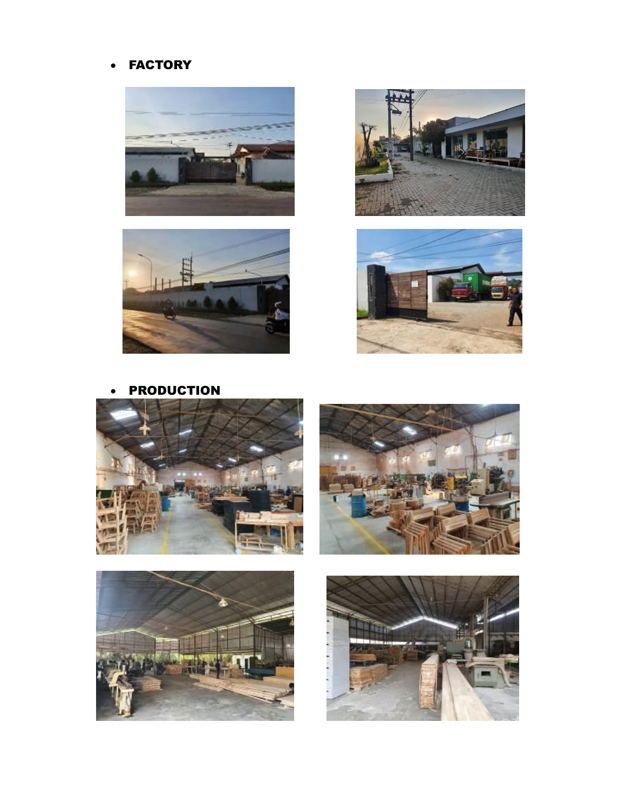## • FACTORY









• PRODUCTION







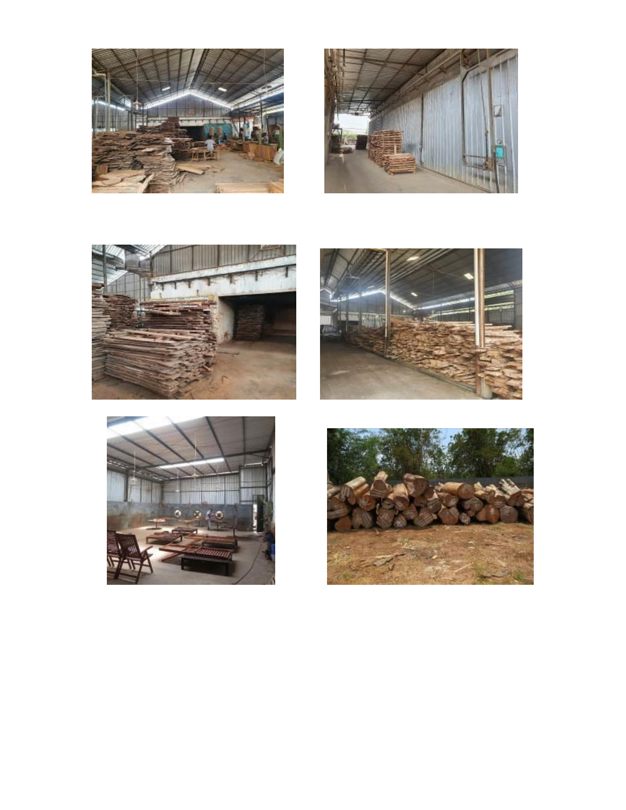